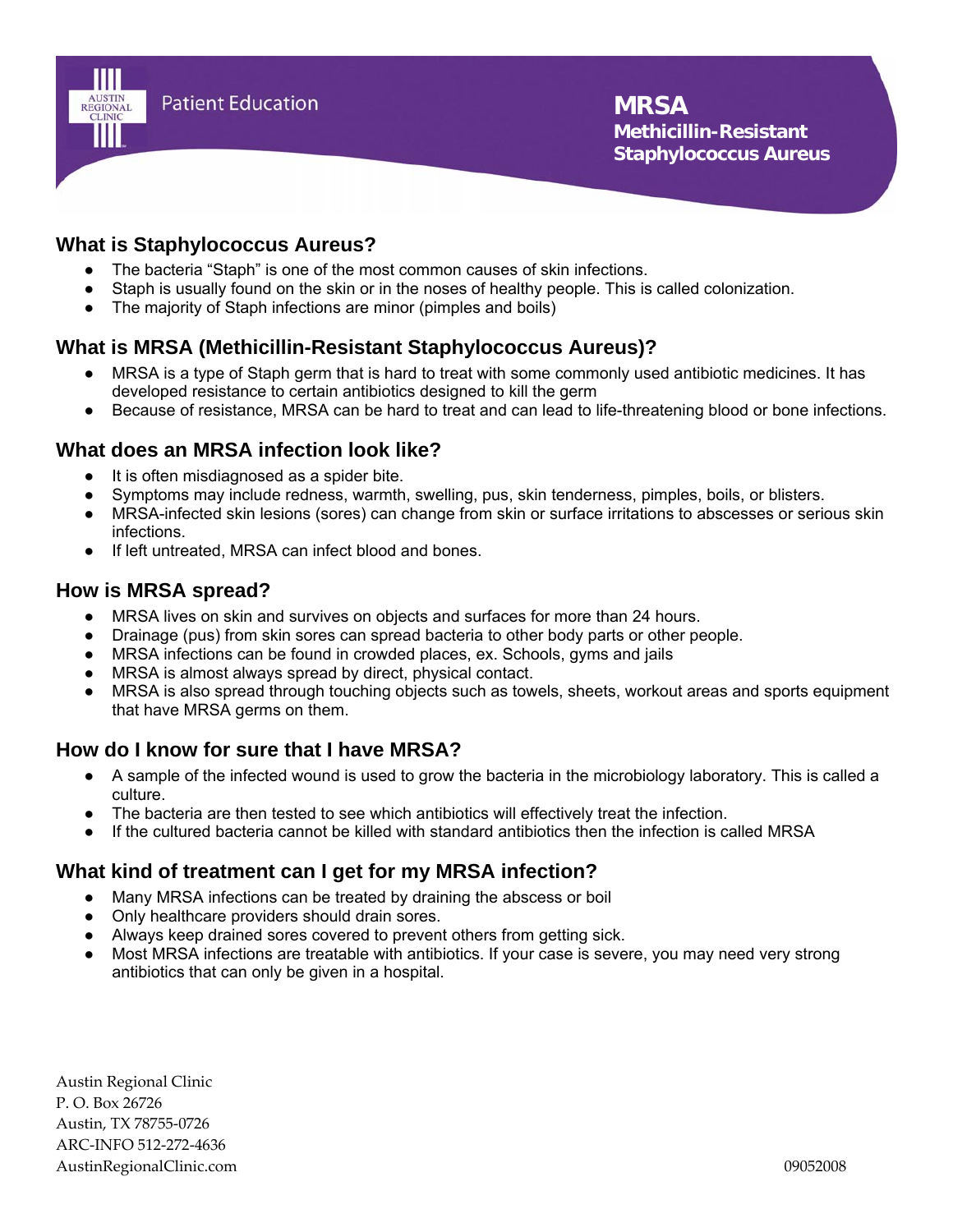

# **What is Staphylococcus Aureus?**

- The bacteria "Staph" is one of the most common causes of skin infections.
- Staph is usually found on the skin or in the noses of healthy people. This is called colonization.
- The majority of Staph infections are minor (pimples and boils)

# **What is MRSA (Methicillin-Resistant Staphylococcus Aureus)?**

- MRSA is a type of Staph germ that is hard to treat with some commonly used antibiotic medicines. It has developed resistance to certain antibiotics designed to kill the germ
- Because of resistance, MRSA can be hard to treat and can lead to life-threatening blood or bone infections.

### **What does an MRSA infection look like?**

- It is often misdiagnosed as a spider bite.
- Symptoms may include redness, warmth, swelling, pus, skin tenderness, pimples, boils, or blisters.
- MRSA-infected skin lesions (sores) can change from skin or surface irritations to abscesses or serious skin infections.
- If left untreated, MRSA can infect blood and bones.

#### **How is MRSA spread?**

- MRSA lives on skin and survives on objects and surfaces for more than 24 hours.
- Drainage (pus) from skin sores can spread bacteria to other body parts or other people.
- MRSA infections can be found in crowded places, ex. Schools, gyms and jails
- MRSA is almost always spread by direct, physical contact.
- MRSA is also spread through touching objects such as towels, sheets, workout areas and sports equipment that have MRSA germs on them.

### **How do I know for sure that I have MRSA?**

- A sample of the infected wound is used to grow the bacteria in the microbiology laboratory. This is called a culture.
- The bacteria are then tested to see which antibiotics will effectively treat the infection.
- If the cultured bacteria cannot be killed with standard antibiotics then the infection is called MRSA

### **What kind of treatment can I get for my MRSA infection?**

- Many MRSA infections can be treated by draining the abscess or boil
- Only healthcare providers should drain sores.
- Always keep drained sores covered to prevent others from getting sick.
- Most MRSA infections are treatable with antibiotics. If your case is severe, you may need very strong antibiotics that can only be given in a hospital.

Austin Regional Clinic P. O. Box 26726 Austin, TX 78755‐0726 ARC‐INFO 512‐272‐4636 AustinRegionalClinic.com 09052008